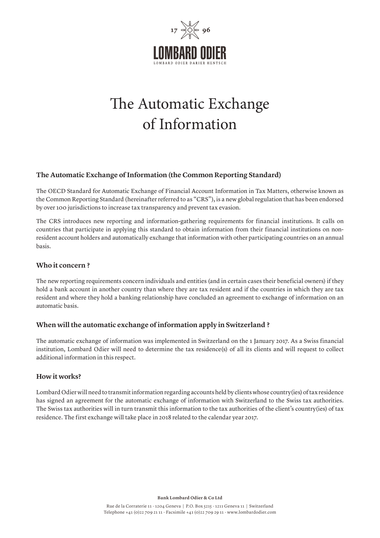

# The Automatic Exchange of Information

# **The Automatic Exchange of Information (the Common Reporting Standard)**

The OECD Standard for Automatic Exchange of Financial Account Information in Tax Matters, otherwise known as the Common Reporting Standard (hereinafter referred to as "CRS"), is a new global regulation that has been endorsed by over 100 jurisdictions to increase tax transparency and prevent tax evasion.

The CRS introduces new reporting and information-gathering requirements for financial institutions. It calls on countries that participate in applying this standard to obtain information from their financial institutions on nonresident account holders and automatically exchange that information with other participating countries on an annual basis.

#### **Who it concern ?**

The new reporting requirements concern individuals and entities (and in certain cases their beneficial owners) if they hold a bank account in another country than where they are tax resident and if the countries in which they are tax resident and where they hold a banking relationship have concluded an agreement to exchange of information on an automatic basis.

# **When will the automatic exchange of information apply in Switzerland ?**

The automatic exchange of information was implemented in Switzerland on the 1 January 2017. As a Swiss financial institution, Lombard Odier will need to determine the tax residence(s) of all its clients and will request to collect additional information in this respect.

#### **How it works?**

Lombard Odier will need to transmit information regarding accounts held by clients whose country(ies) of tax residence has signed an agreement for the automatic exchange of information with Switzerland to the Swiss tax authorities. The Swiss tax authorities will in turn transmit this information to the tax authorities of the client's country(ies) of tax residence. The first exchange will take place in 2018 related to the calendar year 2017.

**Bank Lombard Odier & Co Ltd**